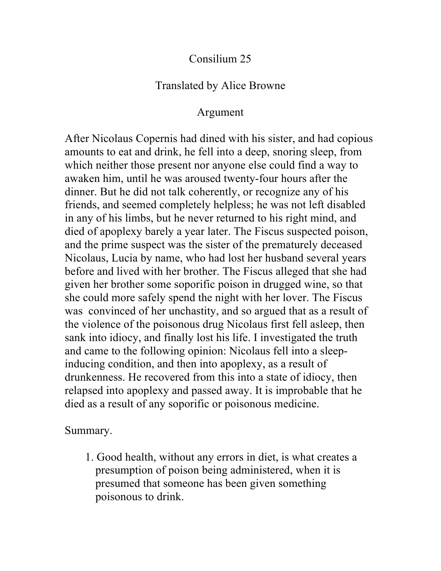## Consilium 25

## Translated by Alice Browne

## Argument

After Nicolaus Copernis had dined with his sister, and had copious amounts to eat and drink, he fell into a deep, snoring sleep, from which neither those present nor anyone else could find a way to awaken him, until he was aroused twenty-four hours after the dinner. But he did not talk coherently, or recognize any of his friends, and seemed completely helpless; he was not left disabled in any of his limbs, but he never returned to his right mind, and died of apoplexy barely a year later. The Fiscus suspected poison, and the prime suspect was the sister of the prematurely deceased Nicolaus, Lucia by name, who had lost her husband several years before and lived with her brother. The Fiscus alleged that she had given her brother some soporific poison in drugged wine, so that she could more safely spend the night with her lover. The Fiscus was convinced of her unchastity, and so argued that as a result of the violence of the poisonous drug Nicolaus first fell asleep, then sank into idiocy, and finally lost his life. I investigated the truth and came to the following opinion: Nicolaus fell into a sleepinducing condition, and then into apoplexy, as a result of drunkenness. He recovered from this into a state of idiocy, then relapsed into apoplexy and passed away. It is improbable that he died as a result of any soporific or poisonous medicine.

Summary.

1. Good health, without any errors in diet, is what creates a presumption of poison being administered, when it is presumed that someone has been given something poisonous to drink.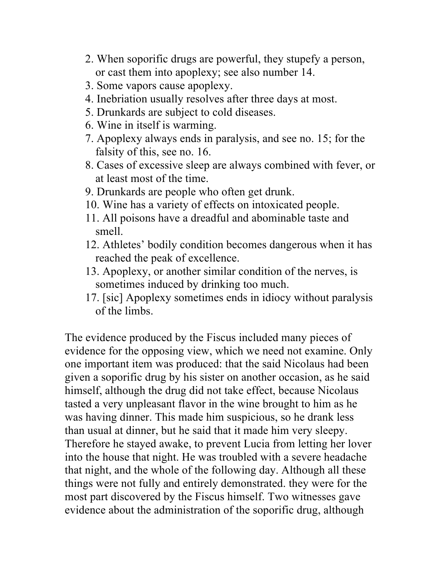- 2. When soporific drugs are powerful, they stupefy a person, or cast them into apoplexy; see also number 14.
- 3. Some vapors cause apoplexy.
- 4. Inebriation usually resolves after three days at most.
- 5. Drunkards are subject to cold diseases.
- 6. Wine in itself is warming.
- 7. Apoplexy always ends in paralysis, and see no. 15; for the falsity of this, see no. 16.
- 8. Cases of excessive sleep are always combined with fever, or at least most of the time.
- 9. Drunkards are people who often get drunk.
- 10. Wine has a variety of effects on intoxicated people.
- 11. All poisons have a dreadful and abominable taste and smell.
- 12. Athletes' bodily condition becomes dangerous when it has reached the peak of excellence.
- 13. Apoplexy, or another similar condition of the nerves, is sometimes induced by drinking too much.
- 17. [sic] Apoplexy sometimes ends in idiocy without paralysis of the limbs.

The evidence produced by the Fiscus included many pieces of evidence for the opposing view, which we need not examine. Only one important item was produced: that the said Nicolaus had been given a soporific drug by his sister on another occasion, as he said himself, although the drug did not take effect, because Nicolaus tasted a very unpleasant flavor in the wine brought to him as he was having dinner. This made him suspicious, so he drank less than usual at dinner, but he said that it made him very sleepy. Therefore he stayed awake, to prevent Lucia from letting her lover into the house that night. He was troubled with a severe headache that night, and the whole of the following day. Although all these things were not fully and entirely demonstrated. they were for the most part discovered by the Fiscus himself. Two witnesses gave evidence about the administration of the soporific drug, although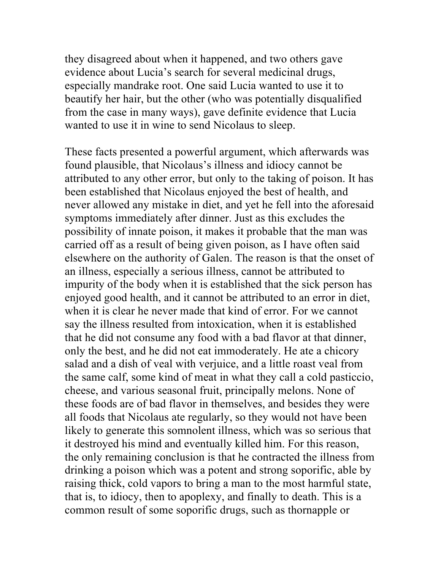they disagreed about when it happened, and two others gave evidence about Lucia's search for several medicinal drugs, especially mandrake root. One said Lucia wanted to use it to beautify her hair, but the other (who was potentially disqualified from the case in many ways), gave definite evidence that Lucia wanted to use it in wine to send Nicolaus to sleep.

These facts presented a powerful argument, which afterwards was found plausible, that Nicolaus's illness and idiocy cannot be attributed to any other error, but only to the taking of poison. It has been established that Nicolaus enjoyed the best of health, and never allowed any mistake in diet, and yet he fell into the aforesaid symptoms immediately after dinner. Just as this excludes the possibility of innate poison, it makes it probable that the man was carried off as a result of being given poison, as I have often said elsewhere on the authority of Galen. The reason is that the onset of an illness, especially a serious illness, cannot be attributed to impurity of the body when it is established that the sick person has enjoyed good health, and it cannot be attributed to an error in diet, when it is clear he never made that kind of error. For we cannot say the illness resulted from intoxication, when it is established that he did not consume any food with a bad flavor at that dinner, only the best, and he did not eat immoderately. He ate a chicory salad and a dish of veal with verjuice, and a little roast veal from the same calf, some kind of meat in what they call a cold pasticcio, cheese, and various seasonal fruit, principally melons. None of these foods are of bad flavor in themselves, and besides they were all foods that Nicolaus ate regularly, so they would not have been likely to generate this somnolent illness, which was so serious that it destroyed his mind and eventually killed him. For this reason, the only remaining conclusion is that he contracted the illness from drinking a poison which was a potent and strong soporific, able by raising thick, cold vapors to bring a man to the most harmful state, that is, to idiocy, then to apoplexy, and finally to death. This is a common result of some soporific drugs, such as thornapple or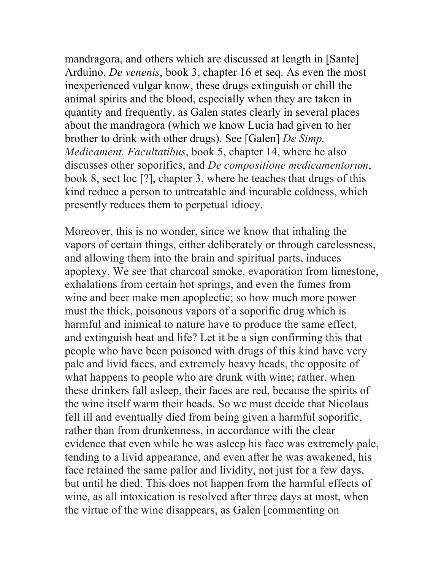mandragora, and others which are discussed at length in [Sante] Arduino, *De venenis*, book 3, chapter 16 et seq. As even the most inexperienced vulgar know, these drugs extinguish or chill the animal spirits and the blood, especially when they are taken in quantity and frequently, as Galen states clearly in several places about the mandragora (which we know Lucia had given to her brother to drink with other drugs). See [Galen] *De Simp. Medicament. Facultatibus*, book 5, chapter 14, where he also discusses other soporifics, and *De compositione medicamentorum*, book 8, sect loc [?], chapter 3, where he teaches that drugs of this kind reduce a person to untreatable and incurable coldness, which presently reduces them to perpetual idiocy.

Moreover, this is no wonder, since we know that inhaling the vapors of certain things, either deliberately or through carelessness, and allowing them into the brain and spiritual parts, induces apoplexy. We see that charcoal smoke, evaporation from limestone, exhalations from certain hot springs, and even the fumes from wine and beer make men apoplectic; so how much more power must the thick, poisonous vapors of a soporific drug which is harmful and inimical to nature have to produce the same effect, and extinguish heat and life? Let it be a sign confirming this that people who have been poisoned with drugs of this kind have very pale and livid faces, and extremely heavy heads, the opposite of what happens to people who are drunk with wine; rather, when these drinkers fall asleep, their faces are red, because the spirits of the wine itself warm their heads. So we must decide that Nicolaus fell ill and eventually died from being given a harmful soporific, rather than from drunkenness, in accordance with the clear evidence that even while he was asleep his face was extremely pale, tending to a livid appearance, and even after he was awakened, his face retained the same pallor and lividity, not just for a few days, but until he died. This does not happen from the harmful effects of wine, as all intoxication is resolved after three days at most, when the virtue of the wine disappears, as Galen [commenting on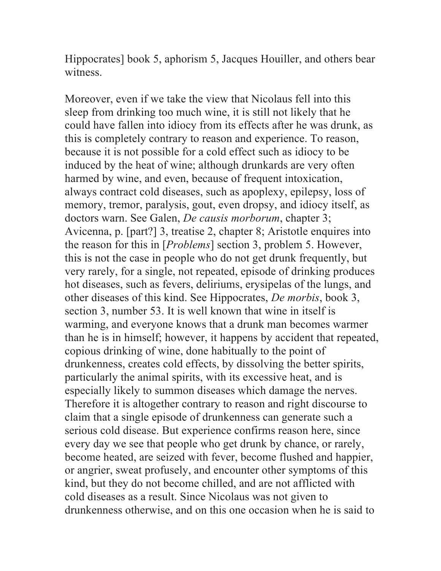Hippocrates] book 5, aphorism 5, Jacques Houiller, and others bear witness.

Moreover, even if we take the view that Nicolaus fell into this sleep from drinking too much wine, it is still not likely that he could have fallen into idiocy from its effects after he was drunk, as this is completely contrary to reason and experience. To reason, because it is not possible for a cold effect such as idiocy to be induced by the heat of wine; although drunkards are very often harmed by wine, and even, because of frequent intoxication, always contract cold diseases, such as apoplexy, epilepsy, loss of memory, tremor, paralysis, gout, even dropsy, and idiocy itself, as doctors warn. See Galen, *De causis morborum*, chapter 3; Avicenna, p. [part?] 3, treatise 2, chapter 8; Aristotle enquires into the reason for this in [*Problems*] section 3, problem 5. However, this is not the case in people who do not get drunk frequently, but very rarely, for a single, not repeated, episode of drinking produces hot diseases, such as fevers, deliriums, erysipelas of the lungs, and other diseases of this kind. See Hippocrates, *De morbis*, book 3, section 3, number 53. It is well known that wine in itself is warming, and everyone knows that a drunk man becomes warmer than he is in himself; however, it happens by accident that repeated, copious drinking of wine, done habitually to the point of drunkenness, creates cold effects, by dissolving the better spirits, particularly the animal spirits, with its excessive heat, and is especially likely to summon diseases which damage the nerves. Therefore it is altogether contrary to reason and right discourse to claim that a single episode of drunkenness can generate such a serious cold disease. But experience confirms reason here, since every day we see that people who get drunk by chance, or rarely, become heated, are seized with fever, become flushed and happier, or angrier, sweat profusely, and encounter other symptoms of this kind, but they do not become chilled, and are not afflicted with cold diseases as a result. Since Nicolaus was not given to drunkenness otherwise, and on this one occasion when he is said to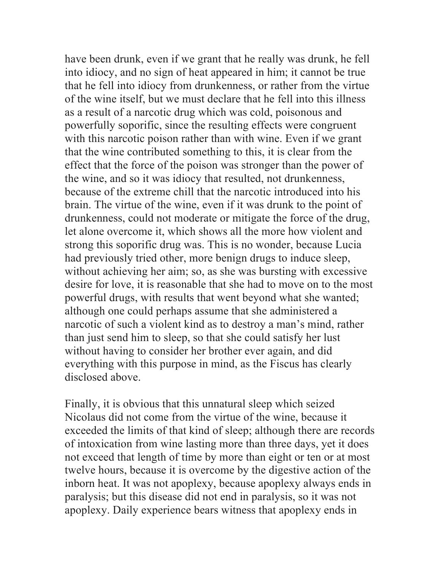have been drunk, even if we grant that he really was drunk, he fell into idiocy, and no sign of heat appeared in him; it cannot be true that he fell into idiocy from drunkenness, or rather from the virtue of the wine itself, but we must declare that he fell into this illness as a result of a narcotic drug which was cold, poisonous and powerfully soporific, since the resulting effects were congruent with this narcotic poison rather than with wine. Even if we grant that the wine contributed something to this, it is clear from the effect that the force of the poison was stronger than the power of the wine, and so it was idiocy that resulted, not drunkenness, because of the extreme chill that the narcotic introduced into his brain. The virtue of the wine, even if it was drunk to the point of drunkenness, could not moderate or mitigate the force of the drug, let alone overcome it, which shows all the more how violent and strong this soporific drug was. This is no wonder, because Lucia had previously tried other, more benign drugs to induce sleep, without achieving her aim; so, as she was bursting with excessive desire for love, it is reasonable that she had to move on to the most powerful drugs, with results that went beyond what she wanted; although one could perhaps assume that she administered a narcotic of such a violent kind as to destroy a man's mind, rather than just send him to sleep, so that she could satisfy her lust without having to consider her brother ever again, and did everything with this purpose in mind, as the Fiscus has clearly disclosed above.

Finally, it is obvious that this unnatural sleep which seized Nicolaus did not come from the virtue of the wine, because it exceeded the limits of that kind of sleep; although there are records of intoxication from wine lasting more than three days, yet it does not exceed that length of time by more than eight or ten or at most twelve hours, because it is overcome by the digestive action of the inborn heat. It was not apoplexy, because apoplexy always ends in paralysis; but this disease did not end in paralysis, so it was not apoplexy. Daily experience bears witness that apoplexy ends in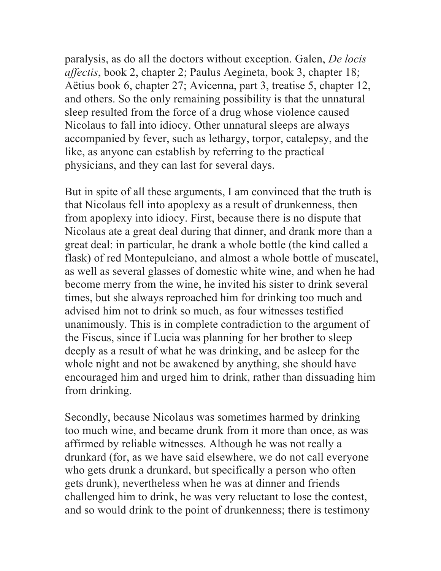paralysis, as do all the doctors without exception. Galen, *De locis affectis*, book 2, chapter 2; Paulus Aegineta, book 3, chapter 18; Aëtius book 6, chapter 27; Avicenna, part 3, treatise 5, chapter 12, and others. So the only remaining possibility is that the unnatural sleep resulted from the force of a drug whose violence caused Nicolaus to fall into idiocy. Other unnatural sleeps are always accompanied by fever, such as lethargy, torpor, catalepsy, and the like, as anyone can establish by referring to the practical physicians, and they can last for several days.

But in spite of all these arguments, I am convinced that the truth is that Nicolaus fell into apoplexy as a result of drunkenness, then from apoplexy into idiocy. First, because there is no dispute that Nicolaus ate a great deal during that dinner, and drank more than a great deal: in particular, he drank a whole bottle (the kind called a flask) of red Montepulciano, and almost a whole bottle of muscatel, as well as several glasses of domestic white wine, and when he had become merry from the wine, he invited his sister to drink several times, but she always reproached him for drinking too much and advised him not to drink so much, as four witnesses testified unanimously. This is in complete contradiction to the argument of the Fiscus, since if Lucia was planning for her brother to sleep deeply as a result of what he was drinking, and be asleep for the whole night and not be awakened by anything, she should have encouraged him and urged him to drink, rather than dissuading him from drinking.

Secondly, because Nicolaus was sometimes harmed by drinking too much wine, and became drunk from it more than once, as was affirmed by reliable witnesses. Although he was not really a drunkard (for, as we have said elsewhere, we do not call everyone who gets drunk a drunkard, but specifically a person who often gets drunk), nevertheless when he was at dinner and friends challenged him to drink, he was very reluctant to lose the contest, and so would drink to the point of drunkenness; there is testimony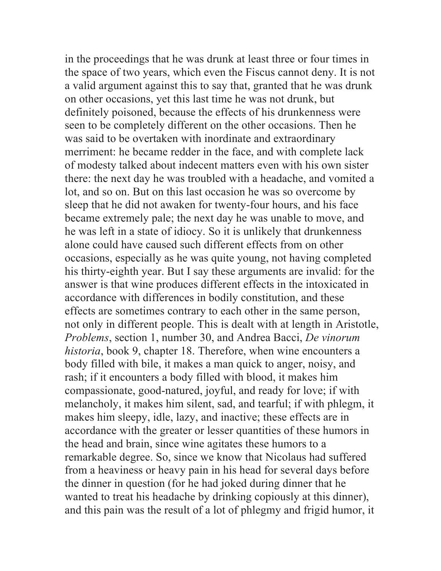in the proceedings that he was drunk at least three or four times in the space of two years, which even the Fiscus cannot deny. It is not a valid argument against this to say that, granted that he was drunk on other occasions, yet this last time he was not drunk, but definitely poisoned, because the effects of his drunkenness were seen to be completely different on the other occasions. Then he was said to be overtaken with inordinate and extraordinary merriment: he became redder in the face, and with complete lack of modesty talked about indecent matters even with his own sister there: the next day he was troubled with a headache, and vomited a lot, and so on. But on this last occasion he was so overcome by sleep that he did not awaken for twenty-four hours, and his face became extremely pale; the next day he was unable to move, and he was left in a state of idiocy. So it is unlikely that drunkenness alone could have caused such different effects from on other occasions, especially as he was quite young, not having completed his thirty-eighth year. But I say these arguments are invalid: for the answer is that wine produces different effects in the intoxicated in accordance with differences in bodily constitution, and these effects are sometimes contrary to each other in the same person, not only in different people. This is dealt with at length in Aristotle, *Problems*, section 1, number 30, and Andrea Bacci, *De vinorum historia*, book 9, chapter 18. Therefore, when wine encounters a body filled with bile, it makes a man quick to anger, noisy, and rash; if it encounters a body filled with blood, it makes him compassionate, good-natured, joyful, and ready for love; if with melancholy, it makes him silent, sad, and tearful; if with phlegm, it makes him sleepy, idle, lazy, and inactive; these effects are in accordance with the greater or lesser quantities of these humors in the head and brain, since wine agitates these humors to a remarkable degree. So, since we know that Nicolaus had suffered from a heaviness or heavy pain in his head for several days before the dinner in question (for he had joked during dinner that he wanted to treat his headache by drinking copiously at this dinner), and this pain was the result of a lot of phlegmy and frigid humor, it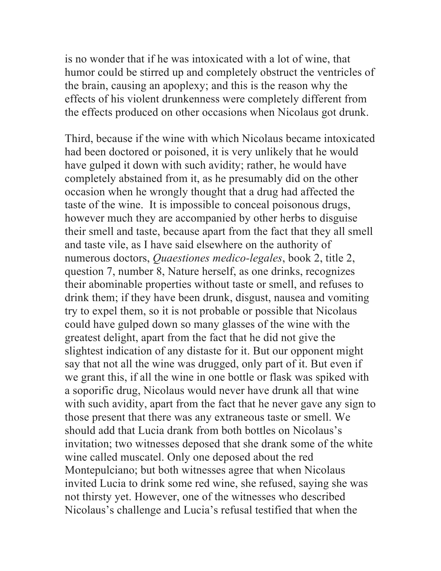is no wonder that if he was intoxicated with a lot of wine, that humor could be stirred up and completely obstruct the ventricles of the brain, causing an apoplexy; and this is the reason why the effects of his violent drunkenness were completely different from the effects produced on other occasions when Nicolaus got drunk.

Third, because if the wine with which Nicolaus became intoxicated had been doctored or poisoned, it is very unlikely that he would have gulped it down with such avidity; rather, he would have completely abstained from it, as he presumably did on the other occasion when he wrongly thought that a drug had affected the taste of the wine. It is impossible to conceal poisonous drugs, however much they are accompanied by other herbs to disguise their smell and taste, because apart from the fact that they all smell and taste vile, as I have said elsewhere on the authority of numerous doctors, *Quaestiones medico-legales*, book 2, title 2, question 7, number 8, Nature herself, as one drinks, recognizes their abominable properties without taste or smell, and refuses to drink them; if they have been drunk, disgust, nausea and vomiting try to expel them, so it is not probable or possible that Nicolaus could have gulped down so many glasses of the wine with the greatest delight, apart from the fact that he did not give the slightest indication of any distaste for it. But our opponent might say that not all the wine was drugged, only part of it. But even if we grant this, if all the wine in one bottle or flask was spiked with a soporific drug, Nicolaus would never have drunk all that wine with such avidity, apart from the fact that he never gave any sign to those present that there was any extraneous taste or smell. We should add that Lucia drank from both bottles on Nicolaus's invitation; two witnesses deposed that she drank some of the white wine called muscatel. Only one deposed about the red Montepulciano; but both witnesses agree that when Nicolaus invited Lucia to drink some red wine, she refused, saying she was not thirsty yet. However, one of the witnesses who described Nicolaus's challenge and Lucia's refusal testified that when the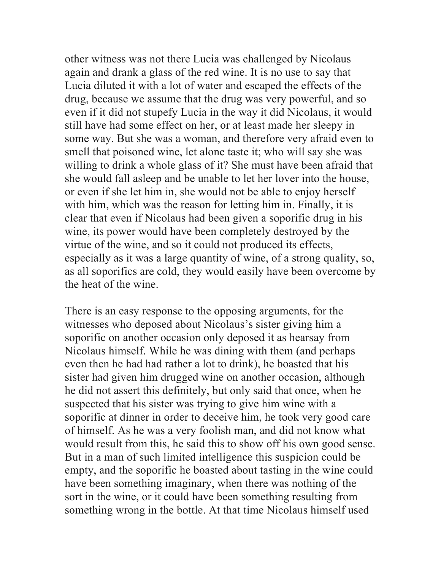other witness was not there Lucia was challenged by Nicolaus again and drank a glass of the red wine. It is no use to say that Lucia diluted it with a lot of water and escaped the effects of the drug, because we assume that the drug was very powerful, and so even if it did not stupefy Lucia in the way it did Nicolaus, it would still have had some effect on her, or at least made her sleepy in some way. But she was a woman, and therefore very afraid even to smell that poisoned wine, let alone taste it; who will say she was willing to drink a whole glass of it? She must have been afraid that she would fall asleep and be unable to let her lover into the house, or even if she let him in, she would not be able to enjoy herself with him, which was the reason for letting him in. Finally, it is clear that even if Nicolaus had been given a soporific drug in his wine, its power would have been completely destroyed by the virtue of the wine, and so it could not produced its effects, especially as it was a large quantity of wine, of a strong quality, so, as all soporifics are cold, they would easily have been overcome by the heat of the wine.

There is an easy response to the opposing arguments, for the witnesses who deposed about Nicolaus's sister giving him a soporific on another occasion only deposed it as hearsay from Nicolaus himself. While he was dining with them (and perhaps even then he had had rather a lot to drink), he boasted that his sister had given him drugged wine on another occasion, although he did not assert this definitely, but only said that once, when he suspected that his sister was trying to give him wine with a soporific at dinner in order to deceive him, he took very good care of himself. As he was a very foolish man, and did not know what would result from this, he said this to show off his own good sense. But in a man of such limited intelligence this suspicion could be empty, and the soporific he boasted about tasting in the wine could have been something imaginary, when there was nothing of the sort in the wine, or it could have been something resulting from something wrong in the bottle. At that time Nicolaus himself used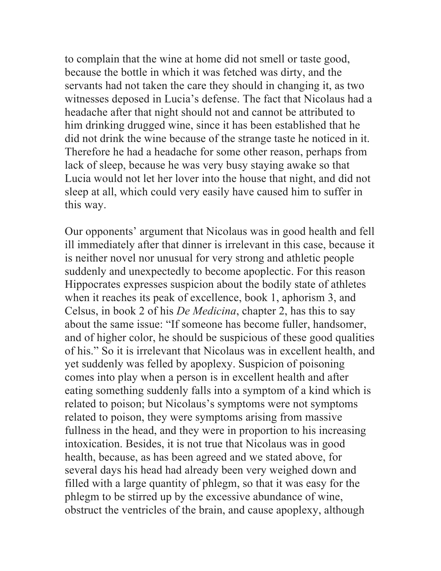to complain that the wine at home did not smell or taste good, because the bottle in which it was fetched was dirty, and the servants had not taken the care they should in changing it, as two witnesses deposed in Lucia's defense. The fact that Nicolaus had a headache after that night should not and cannot be attributed to him drinking drugged wine, since it has been established that he did not drink the wine because of the strange taste he noticed in it. Therefore he had a headache for some other reason, perhaps from lack of sleep, because he was very busy staying awake so that Lucia would not let her lover into the house that night, and did not sleep at all, which could very easily have caused him to suffer in this way.

Our opponents' argument that Nicolaus was in good health and fell ill immediately after that dinner is irrelevant in this case, because it is neither novel nor unusual for very strong and athletic people suddenly and unexpectedly to become apoplectic. For this reason Hippocrates expresses suspicion about the bodily state of athletes when it reaches its peak of excellence, book 1, aphorism 3, and Celsus, in book 2 of his *De Medicina*, chapter 2, has this to say about the same issue: "If someone has become fuller, handsomer, and of higher color, he should be suspicious of these good qualities of his." So it is irrelevant that Nicolaus was in excellent health, and yet suddenly was felled by apoplexy. Suspicion of poisoning comes into play when a person is in excellent health and after eating something suddenly falls into a symptom of a kind which is related to poison; but Nicolaus's symptoms were not symptoms related to poison, they were symptoms arising from massive fullness in the head, and they were in proportion to his increasing intoxication. Besides, it is not true that Nicolaus was in good health, because, as has been agreed and we stated above, for several days his head had already been very weighed down and filled with a large quantity of phlegm, so that it was easy for the phlegm to be stirred up by the excessive abundance of wine, obstruct the ventricles of the brain, and cause apoplexy, although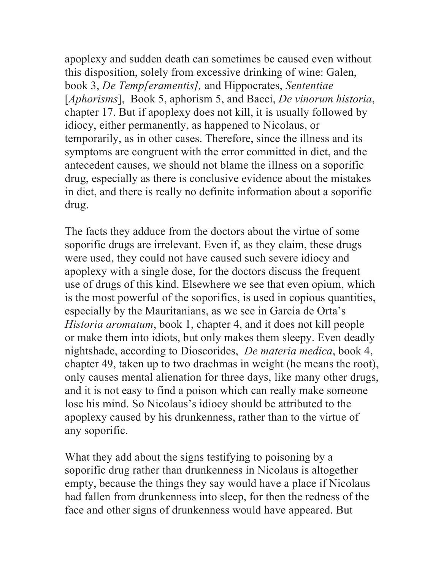apoplexy and sudden death can sometimes be caused even without this disposition, solely from excessive drinking of wine: Galen, book 3, *De Temp[eramentis],* and Hippocrates, *Sententiae* [*Aphorisms*], Book 5, aphorism 5, and Bacci, *De vinorum historia*, chapter 17. But if apoplexy does not kill, it is usually followed by idiocy, either permanently, as happened to Nicolaus, or temporarily, as in other cases. Therefore, since the illness and its symptoms are congruent with the error committed in diet, and the antecedent causes, we should not blame the illness on a soporific drug, especially as there is conclusive evidence about the mistakes in diet, and there is really no definite information about a soporific drug.

The facts they adduce from the doctors about the virtue of some soporific drugs are irrelevant. Even if, as they claim, these drugs were used, they could not have caused such severe idiocy and apoplexy with a single dose, for the doctors discuss the frequent use of drugs of this kind. Elsewhere we see that even opium, which is the most powerful of the soporifics, is used in copious quantities, especially by the Mauritanians, as we see in Garcia de Orta's *Historia aromatum*, book 1, chapter 4, and it does not kill people or make them into idiots, but only makes them sleepy. Even deadly nightshade, according to Dioscorides, *De materia medica*, book 4, chapter 49, taken up to two drachmas in weight (he means the root), only causes mental alienation for three days, like many other drugs, and it is not easy to find a poison which can really make someone lose his mind. So Nicolaus's idiocy should be attributed to the apoplexy caused by his drunkenness, rather than to the virtue of any soporific.

What they add about the signs testifying to poisoning by a soporific drug rather than drunkenness in Nicolaus is altogether empty, because the things they say would have a place if Nicolaus had fallen from drunkenness into sleep, for then the redness of the face and other signs of drunkenness would have appeared. But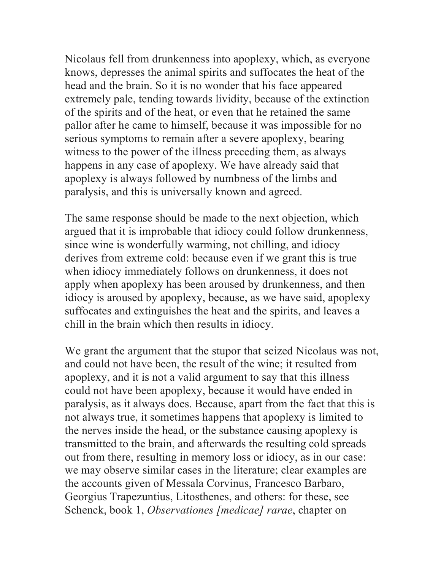Nicolaus fell from drunkenness into apoplexy, which, as everyone knows, depresses the animal spirits and suffocates the heat of the head and the brain. So it is no wonder that his face appeared extremely pale, tending towards lividity, because of the extinction of the spirits and of the heat, or even that he retained the same pallor after he came to himself, because it was impossible for no serious symptoms to remain after a severe apoplexy, bearing witness to the power of the illness preceding them, as always happens in any case of apoplexy. We have already said that apoplexy is always followed by numbness of the limbs and paralysis, and this is universally known and agreed.

The same response should be made to the next objection, which argued that it is improbable that idiocy could follow drunkenness, since wine is wonderfully warming, not chilling, and idiocy derives from extreme cold: because even if we grant this is true when idiocy immediately follows on drunkenness, it does not apply when apoplexy has been aroused by drunkenness, and then idiocy is aroused by apoplexy, because, as we have said, apoplexy suffocates and extinguishes the heat and the spirits, and leaves a chill in the brain which then results in idiocy.

We grant the argument that the stupor that seized Nicolaus was not, and could not have been, the result of the wine; it resulted from apoplexy, and it is not a valid argument to say that this illness could not have been apoplexy, because it would have ended in paralysis, as it always does. Because, apart from the fact that this is not always true, it sometimes happens that apoplexy is limited to the nerves inside the head, or the substance causing apoplexy is transmitted to the brain, and afterwards the resulting cold spreads out from there, resulting in memory loss or idiocy, as in our case: we may observe similar cases in the literature; clear examples are the accounts given of Messala Corvinus, Francesco Barbaro, Georgius Trapezuntius, Litosthenes, and others: for these, see Schenck, book 1, *Observationes [medicae] rarae*, chapter on